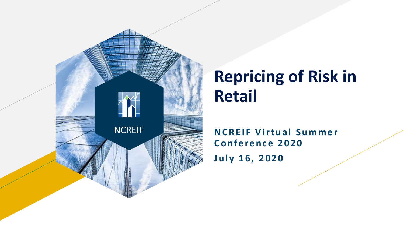

### **Repricing of Risk in Retail**

**NCREIF Virtual Summer Conference 2020** July 16, 2020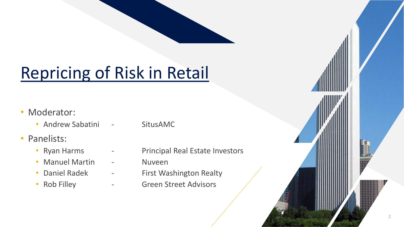## Repricing of Risk in Retail

- Moderator:
	- Andrew Sabatini SitusAMC
- Panelists:
	-
	- Manuel Martin Nuveen
	-
	-
- 
- Ryan Harms Principal Real Estate Investors
	-
- Daniel Radek First Washington Realty
- Rob Filley  **Green Street Advisors**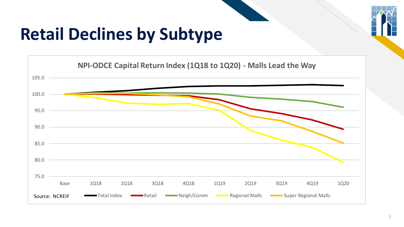

## **Retail Declines by Subtype**

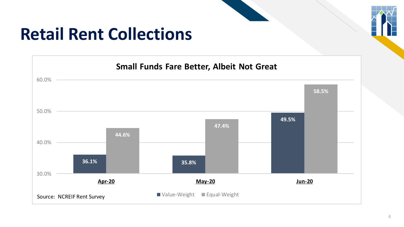# **Retail Rent Collections**



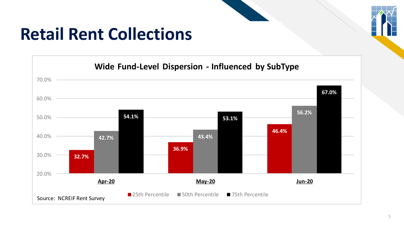

### **Retail Rent Collections**